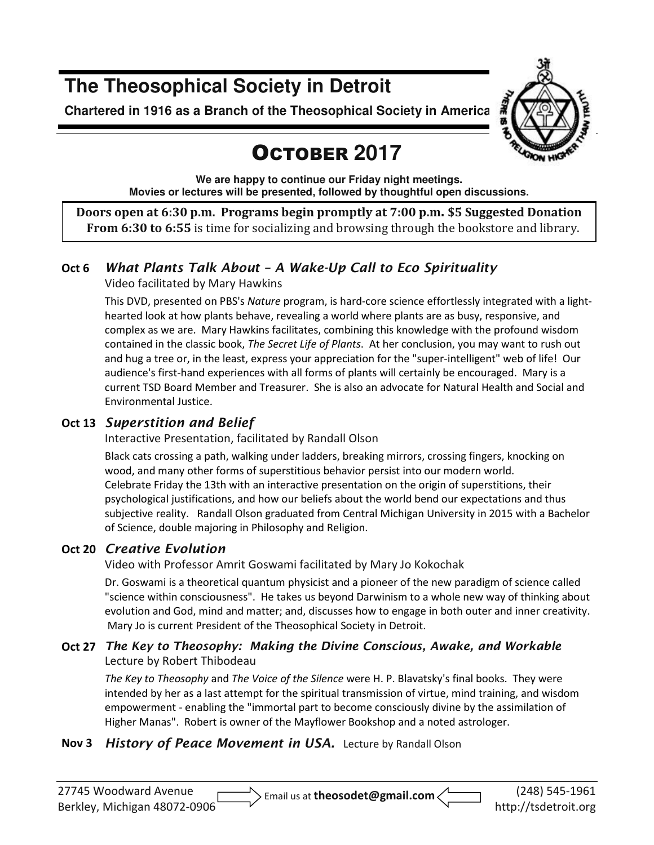## **The Theosophical Society in Detroit**

**Chartered in 1916 as a Branch of the Theosophical Society in America** 

# **GION HIG**

# OCTOBER **2017**

**We are happy to continue our Friday night meetings. Movies or lectures will be presented, followed by thoughtful open discussions.** 

**Doors open at 6:30 p.m. Programs begin promptly at 7:00 p.m. \$5 Suggested Donation From 6:30 to 6:55** is time for socializing and browsing through the bookstore and library.

## **Oct 6** *What Plants Talk About – A Wake-Up Call to Eco Spirituality*

Video facilitated by Mary Hawkins

This DVD, presented on PBS's *Nature* program, is hard-core science effortlessly integrated with a lighthearted look at how plants behave, revealing a world where plants are as busy, responsive, and complex as we are. Mary Hawkins facilitates, combining this knowledge with the profound wisdom contained in the classic book, *The Secret Life of Plants*. At her conclusion, you may want to rush out and hug a tree or, in the least, express your appreciation for the "super-intelligent" web of life! Our audience's first-hand experiences with all forms of plants will certainly be encouraged. Mary is a current TSD Board Member and Treasurer. She is also an advocate for Natural Health and Social and Environmental Justice.

#### **Oct 13** *Superstition and Belief*

Interactive Presentation, facilitated by Randall Olson

Black cats crossing a path, walking under ladders, breaking mirrors, crossing fingers, knocking on wood, and many other forms of superstitious behavior persist into our modern world. Celebrate Friday the 13th with an interactive presentation on the origin of superstitions, their psychological justifications, and how our beliefs about the world bend our expectations and thus subjective reality. Randall Olson graduated from Central Michigan University in 2015 with a Bachelor of Science, double majoring in Philosophy and Religion.

#### **Oct 20** *Creative Evolution*

Video with Professor Amrit Goswami facilitated by Mary Jo Kokochak

Dr. Goswami is a theoretical quantum physicist and a pioneer of the new paradigm of science called "science within consciousness". He takes us beyond Darwinism to a whole new way of thinking about evolution and God, mind and matter; and, discusses how to engage in both outer and inner creativity. Mary Jo is current President of the Theosophical Society in Detroit.

#### **Oct 27** *The Key to Theosophy: Making the Divine Conscious, Awake, and Workable*  Lecture by Robert Thibodeau

*The Key to Theosophy* and *The Voice of the Silence* were H. P. Blavatsky's final books. They were intended by her as a last attempt for the spiritual transmission of virtue, mind training, and wisdom empowerment - enabling the "immortal part to become consciously divine by the assimilation of Higher Manas". Robert is owner of the Mayflower Bookshop and a noted astrologer.

#### **Nov 3** *History of Peace Movement in USA.* Lecture by Randall Olson